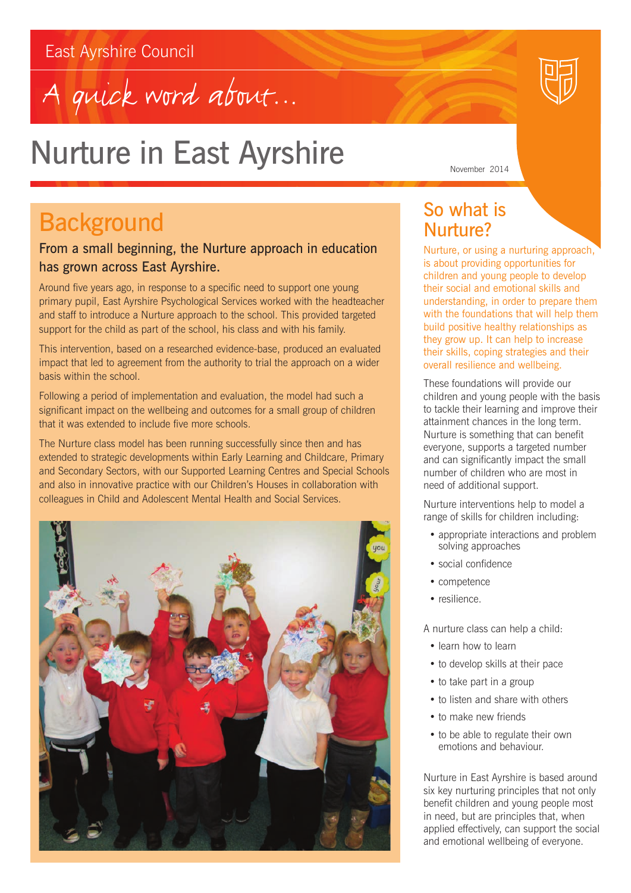## East Ayrshire Council





## Nurture in East Ayrshire

## **Background**

### From a small beginning, the Nurture approach in education has grown across East Ayrshire.

Around five years ago, in response to a specific need to support one young primary pupil, East Ayrshire Psychological Services worked with the headteacher and staff to introduce a Nurture approach to the school. This provided targeted support for the child as part of the school, his class and with his family.

This intervention, based on a researched evidence-base, produced an evaluated impact that led to agreement from the authority to trial the approach on a wider basis within the school.

Following a period of implementation and evaluation, the model had such a significant impact on the wellbeing and outcomes for a small group of children that it was extended to include five more schools.

The Nurture class model has been running successfully since then and has extended to strategic developments within Early Learning and Childcare, Primary and Secondary Sectors, with our Supported Learning Centres and Special Schools and also in innovative practice with our Children's Houses in collaboration with colleagues in Child and Adolescent Mental Health and Social Services.



## So what is Nurture?

Nurture, or using a nurturing approach, is about providing opportunities for children and young people to develop their social and emotional skills and understanding, in order to prepare them with the foundations that will help them build positive healthy relationships as they grow up. It can help to increase their skills, coping strategies and their overall resilience and wellbeing.

These foundations will provide our children and young people with the basis to tackle their learning and improve their attainment chances in the long term. Nurture is something that can benefit everyone, supports a targeted number and can significantly impact the small number of children who are most in need of additional support.

Nurture interventions help to model a range of skills for children including:

- appropriate interactions and problem solving approaches
- social confidence
- competence
- resilience.

A nurture class can help a child:

- learn how to learn
- to develop skills at their pace
- to take part in a group
- to listen and share with others
- to make new friends
- to be able to regulate their own emotions and behaviour.

Nurture in East Ayrshire is based around six key nurturing principles that not only benefit children and young people most in need, but are principles that, when applied effectively, can support the social and emotional wellbeing of everyone.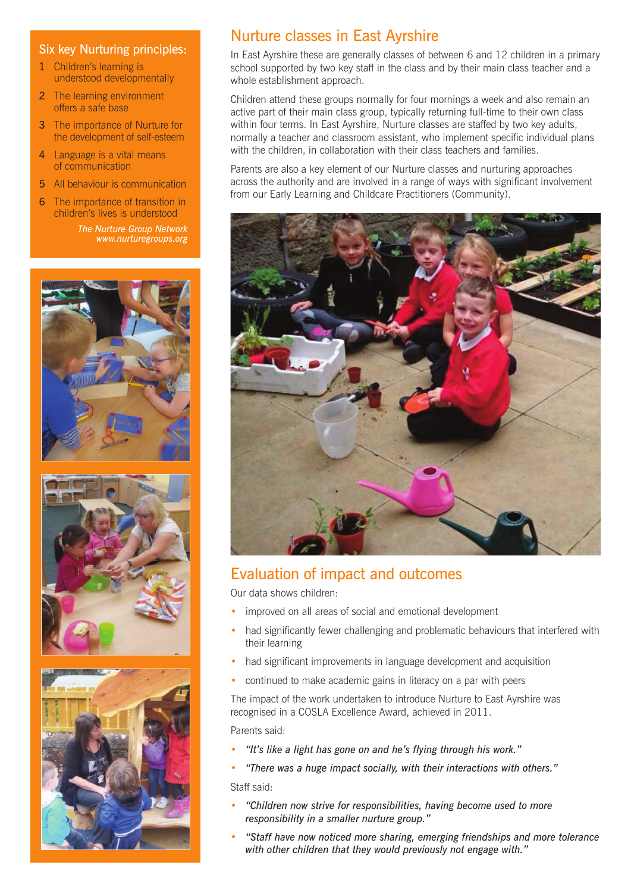#### Six key Nurturing principles:

- 1 Children's learning is understood developmentally
- 2 The learning environment offers a safe base
- 3 The importance of Nurture for the development of self-esteem
- 4 Language is a vital means of communication
- 5 All behaviour is communication
- 6 The importance of transition in children's lives is understood *The Nurture Group Network*

*www.nurturegroups.org*



## Nurture classes in East Ayrshire

In East Ayrshire these are generally classes of between 6 and 12 children in a primary school supported by two key staff in the class and by their main class teacher and a whole establishment approach.

Children attend these groups normally for four mornings a week and also remain an active part of their main class group, typically returning full-time to their own class within four terms. In East Ayrshire, Nurture classes are staffed by two key adults, normally a teacher and classroom assistant, who implement specific individual plans with the children, in collaboration with their class teachers and families.

Parents are also a key element of our Nurture classes and nurturing approaches across the authority and are involved in a range of ways with significant involvement from our Early Learning and Childcare Practitioners (Community).



#### Evaluation of impact and outcomes

Our data shows children:

- improved on all areas of social and emotional development
- had significantly fewer challenging and problematic behaviours that interfered with their learning
- had significant improvements in language development and acquisition
- continued to make academic gains in literacy on a par with peers

The impact of the work undertaken to introduce Nurture to East Ayrshire was recognised in a COSLA Excellence Award, achieved in 2011.

Parents said:

- *• "It's like a light has gone on and he's flying through his work."*
- *• "There was a huge impact socially, with their interactions with others."*  Staff said:
- *• "Children now strive for responsibilities, having become used to more responsibility in a smaller nurture group."*
- *• "Staff have now noticed more sharing, emerging friendships and more tolerance with other children that they would previously not engage with."*